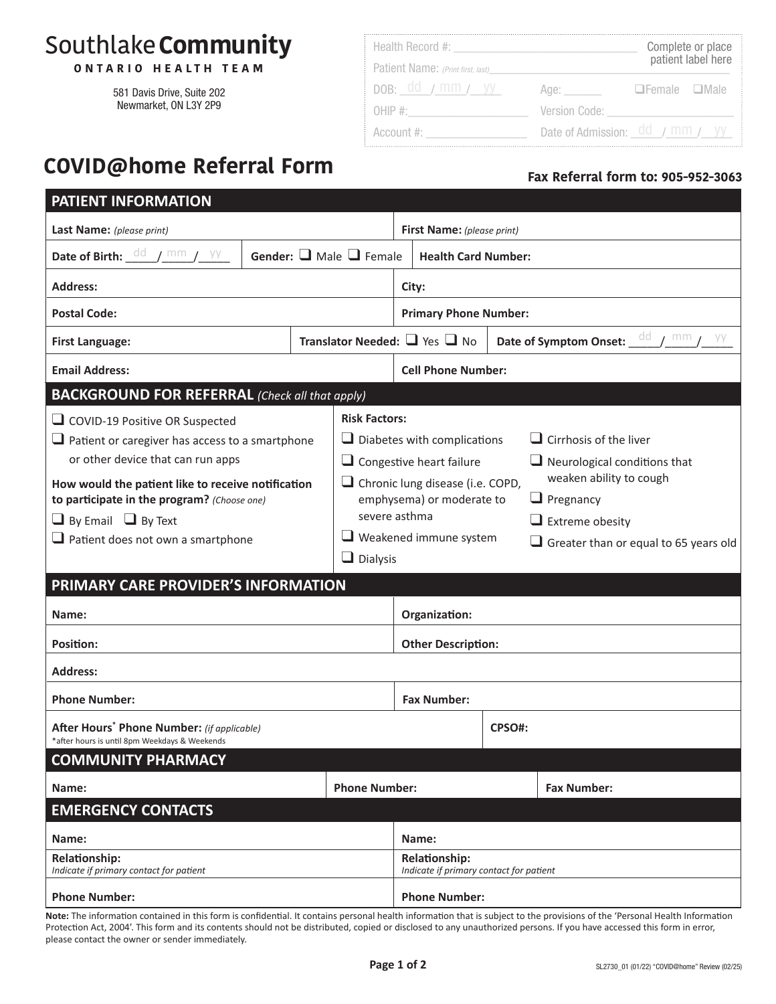# Southlake**Community**

**ONT ARIO HEALTH TEAM**

581 Davis Drive, Suite 202 Newmarket, ON L3Y 2P9

| Health Record #:                  |               | Complete or place<br>patient label here |
|-----------------------------------|---------------|-----------------------------------------|
| Patient Name: (Print first, last) |               |                                         |
| pob: dd / mm / yy                 | Age: Agest    | $D$ Female $D$ Male                     |
| OHIP #:                           | Version Code: |                                         |
| Account #:                        |               | Date of Admission: $dd / mm / yy$       |

## **COVID@home Referral Form**

### **Fax Referral form to: 905-952-3063**

| PATIENT INFORMATION                                                                                                                                                                                                                                                                                                                                                                                                             |                                         |                                                                                                                                                                                                                                               |                                                                                                                                                                                               |                                  |  |  |
|---------------------------------------------------------------------------------------------------------------------------------------------------------------------------------------------------------------------------------------------------------------------------------------------------------------------------------------------------------------------------------------------------------------------------------|-----------------------------------------|-----------------------------------------------------------------------------------------------------------------------------------------------------------------------------------------------------------------------------------------------|-----------------------------------------------------------------------------------------------------------------------------------------------------------------------------------------------|----------------------------------|--|--|
| Last Name: (please print)                                                                                                                                                                                                                                                                                                                                                                                                       |                                         | First Name: (please print)                                                                                                                                                                                                                    |                                                                                                                                                                                               |                                  |  |  |
| Date of Birth: $\underline{\phantom{a}}^{\text{dd}}$ / $\text{mm}$ / $\text{yy}$                                                                                                                                                                                                                                                                                                                                                |                                         | Gender: $\Box$ Male $\Box$ Female                                                                                                                                                                                                             | <b>Health Card Number:</b>                                                                                                                                                                    |                                  |  |  |
| <b>Address:</b>                                                                                                                                                                                                                                                                                                                                                                                                                 |                                         | City:                                                                                                                                                                                                                                         |                                                                                                                                                                                               |                                  |  |  |
| <b>Postal Code:</b>                                                                                                                                                                                                                                                                                                                                                                                                             |                                         | <b>Primary Phone Number:</b>                                                                                                                                                                                                                  |                                                                                                                                                                                               |                                  |  |  |
| <b>First Language:</b>                                                                                                                                                                                                                                                                                                                                                                                                          | Translator Needed: $\Box$ Yes $\Box$ No |                                                                                                                                                                                                                                               |                                                                                                                                                                                               | Date of Symptom Onset: dd / mm / |  |  |
| <b>Email Address:</b>                                                                                                                                                                                                                                                                                                                                                                                                           |                                         |                                                                                                                                                                                                                                               | <b>Cell Phone Number:</b>                                                                                                                                                                     |                                  |  |  |
| <b>BACKGROUND FOR REFERRAL</b> (Check all that apply)                                                                                                                                                                                                                                                                                                                                                                           |                                         |                                                                                                                                                                                                                                               |                                                                                                                                                                                               |                                  |  |  |
| <b>Risk Factors:</b><br>COVID-19 Positive OR Suspected<br>$\Box$ Patient or caregiver has access to a smartphone<br>or other device that can run apps<br>How would the patient like to receive notification<br>to participate in the program? (Choose one)<br>$\Box$ By Email $\Box$ By Text<br>$\Box$ Patient does not own a smartphone<br>$\Box$ Dialysis<br>PRIMARY CARE PROVIDER'S INFORMATION<br>Name:<br><b>Position:</b> |                                         | $\Box$ Diabetes with complications<br>$\Box$ Congestive heart failure<br>$\Box$ Chronic lung disease (i.e. COPD,<br>emphysema) or moderate to<br>severe asthma<br>$\Box$ Weakened immune system<br>Organization:<br><b>Other Description:</b> | $\Box$ Cirrhosis of the liver<br>$\Box$ Neurological conditions that<br>weaken ability to cough<br>$\Box$ Pregnancy<br>$\Box$ Extreme obesity<br>$\Box$ Greater than or equal to 65 years old |                                  |  |  |
| <b>Address:</b>                                                                                                                                                                                                                                                                                                                                                                                                                 |                                         |                                                                                                                                                                                                                                               |                                                                                                                                                                                               |                                  |  |  |
| <b>Phone Number:</b>                                                                                                                                                                                                                                                                                                                                                                                                            |                                         | <b>Fax Number:</b>                                                                                                                                                                                                                            |                                                                                                                                                                                               |                                  |  |  |
| <b>After Hours<sup>*</sup> Phone Number:</b> (if applicable)<br>*after hours is until 8pm Weekdays & Weekends                                                                                                                                                                                                                                                                                                                   |                                         |                                                                                                                                                                                                                                               |                                                                                                                                                                                               | CPSO#:                           |  |  |
| <b>COMMUNITY PHARMACY</b>                                                                                                                                                                                                                                                                                                                                                                                                       |                                         |                                                                                                                                                                                                                                               |                                                                                                                                                                                               |                                  |  |  |
| Name:                                                                                                                                                                                                                                                                                                                                                                                                                           |                                         | <b>Phone Number:</b>                                                                                                                                                                                                                          |                                                                                                                                                                                               | <b>Fax Number:</b>               |  |  |
| <b>EMERGENCY CONTACTS</b>                                                                                                                                                                                                                                                                                                                                                                                                       |                                         |                                                                                                                                                                                                                                               |                                                                                                                                                                                               |                                  |  |  |
| Name:                                                                                                                                                                                                                                                                                                                                                                                                                           |                                         |                                                                                                                                                                                                                                               | Name:                                                                                                                                                                                         |                                  |  |  |
| Relationship:<br>Indicate if primary contact for patient                                                                                                                                                                                                                                                                                                                                                                        |                                         | <b>Relationship:</b><br>Indicate if primary contact for patient                                                                                                                                                                               |                                                                                                                                                                                               |                                  |  |  |
| <b>Phone Number:</b>                                                                                                                                                                                                                                                                                                                                                                                                            |                                         | <b>Phone Number:</b>                                                                                                                                                                                                                          |                                                                                                                                                                                               |                                  |  |  |

**Note:** The information contained in this form is confidential. It contains personal health information that is subject to the provisions of the 'Personal Health Information Protection Act, 2004'. This form and its contents should not be distributed, copied or disclosed to any unauthorized persons. If you have accessed this form in error, please contact the owner or sender immediately.